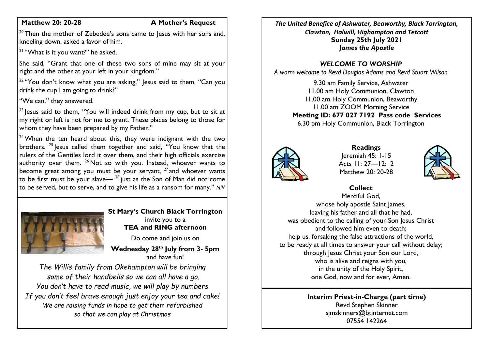## **Matthew 20: 20-28 A Mother's Request**

 $20$  Then the mother of Zebedee's sons came to Jesus with her sons and, kneeling down, asked a favor of him.

 $21$  "What is it you want?" he asked.

She said, "Grant that one of these two sons of mine may sit at your right and the other at your left in your kingdom."

<sup>22</sup> "You don't know what you are asking," Jesus said to them. "Can you drink the cup I am going to drink?"

"We can," they answered.

<sup>23</sup> lesus said to them, "You will indeed drink from my cup, but to sit at my right or left is not for me to grant. These places belong to those for whom they have been prepared by my Father."

 $24$  When the ten heard about this, they were indignant with the two brothers. <sup>25</sup> lesus called them together and said, "You know that the rulers of the Gentiles lord it over them, and their high officials exercise authority over them.  $26$  Not so with you. Instead, whoever wants to become great among you must be your servant,  $27$  and whoever wants to be first must be your slave— $28$  just as the Son of Man did not come to be served, but to serve, and to give his life as a ransom for many." *NIV*



#### **St Mary's Church Black Torrington** invite you to a **TEA and RING afternoon**

Do come and join us on

**Wednesday 28th July from 3- 5pm**  and have fun!

*The Willis family from Okehampton will be bringing some of their handbells so we can all have a go. You don't have to read music, we will play by numbers If you don't feel brave enough just enjoy your tea and cake! We are raising funds in hope to get them refurbished so that we can play at Christmas*

*The United Benefice of Ashwater, Beaworthy, Black Torrington, Clawton, Halwill, Highampton and Tetcott* **Sunday 25th July 2021** *James the Apostle*

## *WELCOME TO WORSHIP*

*A warm welcome to Revd Douglas Adams and Revd Stuart Wilson*

9.30 am Family Service, Ashwater 11.00 am Holy Communion, Clawton 11.00 am Holy Communion, Beaworthy 11.00 am ZOOM Morning Service **Meeting ID: 677 027 7192 Pass code Services** 6.30 pm Holy Communion, Black Torrington



**Readings** Jeremiah 45: 1-15 Acts  $11: 27 - 12: 2$ Matthew 20: 20-28



**Collect**

Merciful God, whose holy apostle Saint James, leaving his father and all that he had, was obedient to the calling of your Son Jesus Christ and followed him even to death; help us, forsaking the false attractions of the world, to be ready at all times to answer your call without delay; through Jesus Christ your Son our Lord, who is alive and reigns with you, in the unity of the Holy Spirit, one God, now and for ever, Amen.

> **Interim Priest-in-Charge (part time)** Revd Stephen Skinner [sjmskinners@btinternet.com](mailto:sjmskinners@btinternet.com) 07554 142264